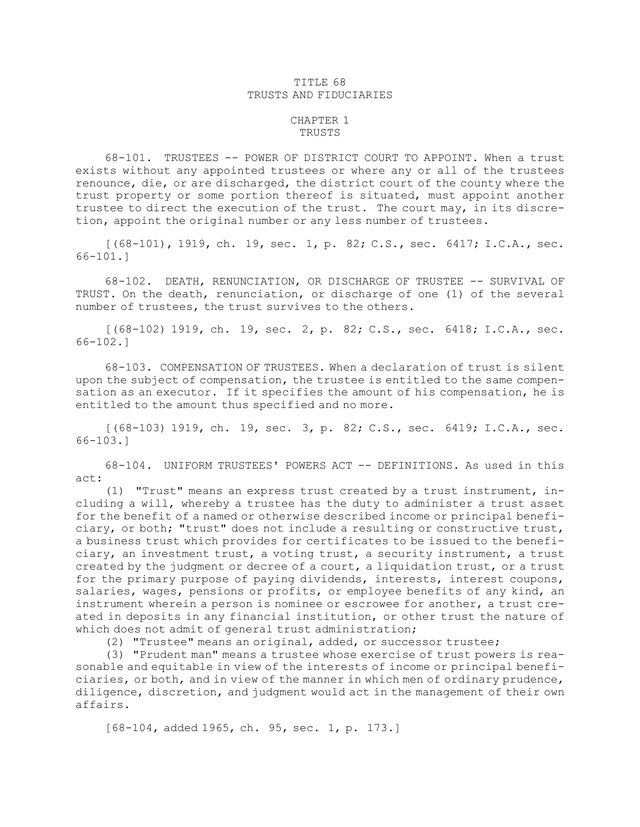## TITLE 68 TRUSTS AND FIDUCIARIES

## CHAPTER 1 TRUSTS

68-101. TRUSTEES -- POWER OF DISTRICT COURT TO APPOINT. When a trust exists without any appointed trustees or where any or all of the trustees renounce, die, or are discharged, the district court of the county where the trust property or some portion thereof is situated, must appoint another trustee to direct the execution of the trust. The court may, in its discretion, appoint the original number or any less number of trustees.

[(68-101), 1919, ch. 19, sec. 1, p. 82; C.S., sec. 6417; I.C.A., sec. 66-101.]

68-102. DEATH, RENUNCIATION, OR DISCHARGE OF TRUSTEE -- SURVIVAL OF TRUST. On the death, renunciation, or discharge of one (1) of the several number of trustees, the trust survives to the others.

[(68-102) 1919, ch. 19, sec. 2, p. 82; C.S., sec. 6418; I.C.A., sec. 66-102.]

68-103. COMPENSATION OF TRUSTEES. When <sup>a</sup> declaration of trust is silent upon the subject of compensation, the trustee is entitled to the same compensation as an executor. If it specifies the amount of his compensation, he is entitled to the amount thus specified and no more.

[(68-103) 1919, ch. 19, sec. 3, p. 82; C.S., sec. 6419; I.C.A., sec. 66-103.]

68-104. UNIFORM TRUSTEES' POWERS ACT -- DEFINITIONS. As used in this act:

(1) "Trust" means an express trust created by <sup>a</sup> trust instrument, including <sup>a</sup> will, whereby <sup>a</sup> trustee has the duty to administer <sup>a</sup> trust asset for the benefit of <sup>a</sup> named or otherwise described income or principal beneficiary, or both; "trust" does not include <sup>a</sup> resulting or constructive trust, <sup>a</sup> business trust which provides for certificates to be issued to the beneficiary, an investment trust, <sup>a</sup> voting trust, <sup>a</sup> security instrument, <sup>a</sup> trust created by the judgment or decree of <sup>a</sup> court, <sup>a</sup> liquidation trust, or <sup>a</sup> trust for the primary purpose of paying dividends, interests, interest coupons, salaries, wages, pensions or profits, or employee benefits of any kind, an instrument wherein <sup>a</sup> person is nominee or escrowee for another, <sup>a</sup> trust created in deposits in any financial institution, or other trust the nature of which does not admit of general trust administration;

(2) "Trustee" means an original, added, or successor trustee;

(3) "Prudent man" means <sup>a</sup> trustee whose exercise of trust powers is reasonable and equitable in view of the interests of income or principal beneficiaries, or both, and in view of the manner in which men of ordinary prudence, diligence, discretion, and judgment would act in the management of their own affairs.

[68-104, added 1965, ch. 95, sec. 1, p. 173.]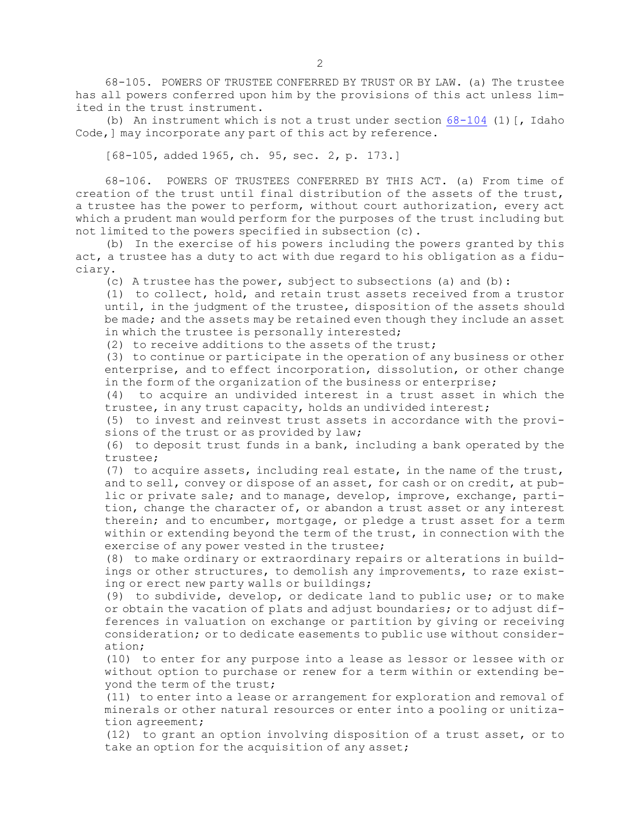68-105. POWERS OF TRUSTEE CONFERRED BY TRUST OR BY LAW. (a) The trustee has all powers conferred upon him by the provisions of this act unless limited in the trust instrument.

(b) An instrument which is not a trust under section  $68-104$  (1) [, Idaho Code,] may incorporate any part of this act by reference.

[68-105, added 1965, ch. 95, sec. 2, p. 173.]

68-106. POWERS OF TRUSTEES CONFERRED BY THIS ACT. (a) From time of creation of the trust until final distribution of the assets of the trust, <sup>a</sup> trustee has the power to perform, without court authorization, every act which <sup>a</sup> prudent man would perform for the purposes of the trust including but not limited to the powers specified in subsection (c).

(b) In the exercise of his powers including the powers granted by this act, <sup>a</sup> trustee has <sup>a</sup> duty to act with due regard to his obligation as <sup>a</sup> fiduciary.

(c) A trustee has the power, subject to subsections (a) and (b):

(1) to collect, hold, and retain trust assets received from <sup>a</sup> trustor until, in the judgment of the trustee, disposition of the assets should be made; and the assets may be retained even though they include an asset in which the trustee is personally interested;

(2) to receive additions to the assets of the trust;

(3) to continue or participate in the operation of any business or other enterprise, and to effect incorporation, dissolution, or other change in the form of the organization of the business or enterprise;

(4) to acquire an undivided interest in <sup>a</sup> trust asset in which the trustee, in any trust capacity, holds an undivided interest;

(5) to invest and reinvest trust assets in accordance with the provisions of the trust or as provided by law;

(6) to deposit trust funds in <sup>a</sup> bank, including <sup>a</sup> bank operated by the trustee;

(7) to acquire assets, including real estate, in the name of the trust, and to sell, convey or dispose of an asset, for cash or on credit, at public or private sale; and to manage, develop, improve, exchange, partition, change the character of, or abandon <sup>a</sup> trust asset or any interest therein; and to encumber, mortgage, or pledge <sup>a</sup> trust asset for <sup>a</sup> term within or extending beyond the term of the trust, in connection with the exercise of any power vested in the trustee;

(8) to make ordinary or extraordinary repairs or alterations in buildings or other structures, to demolish any improvements, to raze existing or erect new party walls or buildings;

(9) to subdivide, develop, or dedicate land to public use; or to make or obtain the vacation of plats and adjust boundaries; or to adjust differences in valuation on exchange or partition by giving or receiving consideration; or to dedicate easements to public use without consideration;

(10) to enter for any purpose into <sup>a</sup> lease as lessor or lessee with or without option to purchase or renew for <sup>a</sup> term within or extending beyond the term of the trust;

(11) to enter into <sup>a</sup> lease or arrangement for exploration and removal of minerals or other natural resources or enter into <sup>a</sup> pooling or unitization agreement;

(12) to grant an option involving disposition of <sup>a</sup> trust asset, or to take an option for the acquisition of any asset;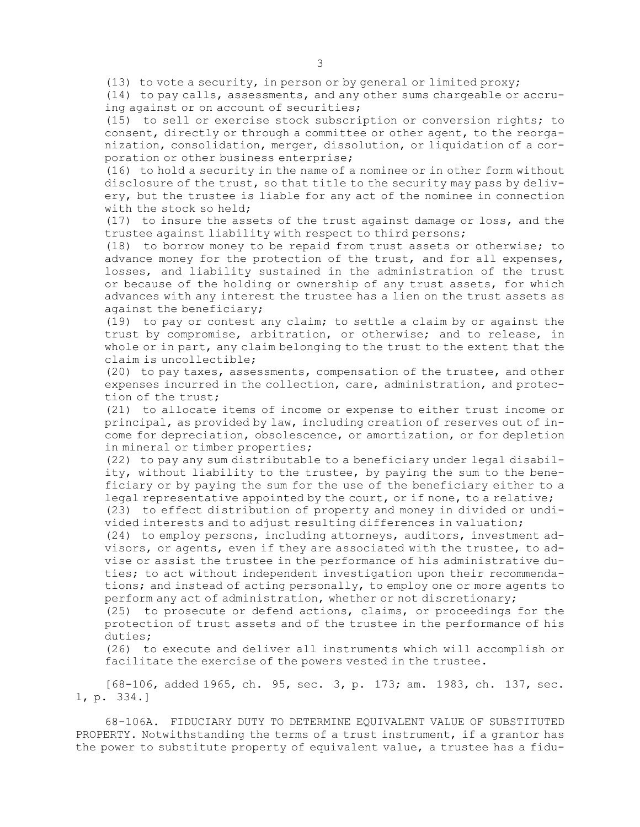(13) to vote <sup>a</sup> security, in person or by general or limited proxy;

(14) to pay calls, assessments, and any other sums chargeable or accruing against or on account of securities;

(15) to sell or exercise stock subscription or conversion rights; to consent, directly or through <sup>a</sup> committee or other agent, to the reorganization, consolidation, merger, dissolution, or liquidation of <sup>a</sup> corporation or other business enterprise;

(16) to hold <sup>a</sup> security in the name of <sup>a</sup> nominee or in other form without disclosure of the trust, so that title to the security may pass by delivery, but the trustee is liable for any act of the nominee in connection with the stock so held;

(17) to insure the assets of the trust against damage or loss, and the trustee against liability with respect to third persons;

(18) to borrow money to be repaid from trust assets or otherwise; to advance money for the protection of the trust, and for all expenses, losses, and liability sustained in the administration of the trust or because of the holding or ownership of any trust assets, for which advances with any interest the trustee has <sup>a</sup> lien on the trust assets as against the beneficiary;

(19) to pay or contest any claim; to settle <sup>a</sup> claim by or against the trust by compromise, arbitration, or otherwise; and to release, in whole or in part, any claim belonging to the trust to the extent that the claim is uncollectible;

(20) to pay taxes, assessments, compensation of the trustee, and other expenses incurred in the collection, care, administration, and protection of the trust;

(21) to allocate items of income or expense to either trust income or principal, as provided by law, including creation of reserves out of income for depreciation, obsolescence, or amortization, or for depletion in mineral or timber properties;

(22) to pay any sum distributable to <sup>a</sup> beneficiary under legal disability, without liability to the trustee, by paying the sum to the beneficiary or by paying the sum for the use of the beneficiary either to <sup>a</sup> legal representative appointed by the court, or if none, to <sup>a</sup> relative;

(23) to effect distribution of property and money in divided or undivided interests and to adjust resulting differences in valuation;

(24) to employ persons, including attorneys, auditors, investment advisors, or agents, even if they are associated with the trustee, to advise or assist the trustee in the performance of his administrative duties; to act without independent investigation upon their recommendations; and instead of acting personally, to employ one or more agents to perform any act of administration, whether or not discretionary;

(25) to prosecute or defend actions, claims, or proceedings for the protection of trust assets and of the trustee in the performance of his duties;

(26) to execute and deliver all instruments which will accomplish or facilitate the exercise of the powers vested in the trustee.

[68-106, added 1965, ch. 95, sec. 3, p. 173; am. 1983, ch. 137, sec. 1, p. 334.]

68-106A. FIDUCIARY DUTY TO DETERMINE EQUIVALENT VALUE OF SUBSTITUTED PROPERTY. Notwithstanding the terms of <sup>a</sup> trust instrument, if <sup>a</sup> grantor has the power to substitute property of equivalent value, <sup>a</sup> trustee has <sup>a</sup> fidu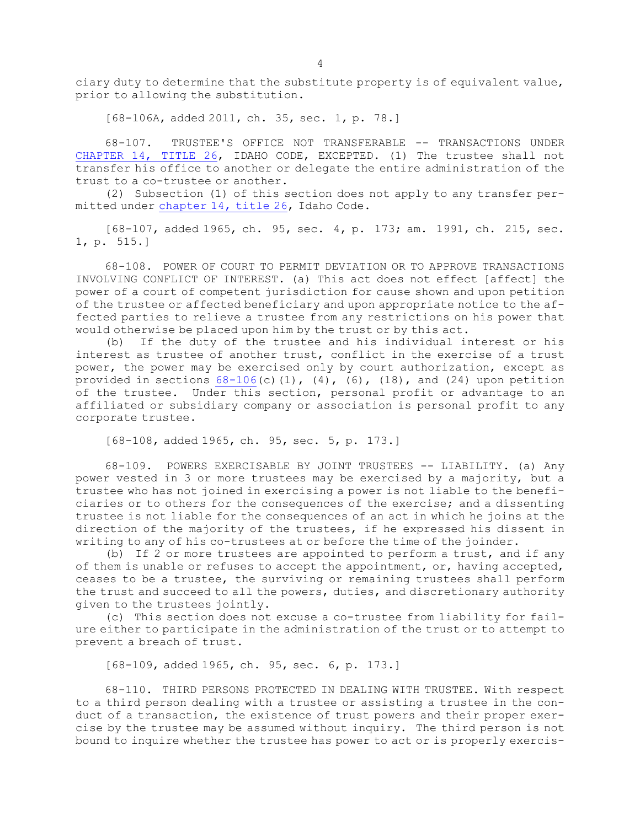ciary duty to determine that the substitute property is of equivalent value, prior to allowing the substitution.

[68-106A, added 2011, ch. 35, sec. 1, p. 78.]

68-107. TRUSTEE'S OFFICE NOT TRANSFERABLE -- TRANSACTIONS UNDER [CHAPTER](https://legislature.idaho.gov/statutesrules/idstat/Title26/T26CH14) 14, TITLE 26, IDAHO CODE, EXCEPTED. (1) The trustee shall not transfer his office to another or delegate the entire administration of the trust to a co-trustee or another.

(2) Subsection (1) of this section does not apply to any transfer permitted under [chapter](https://legislature.idaho.gov/statutesrules/idstat/Title26/T26CH14) 14, title 26, Idaho Code.

[68-107, added 1965, ch. 95, sec. 4, p. 173; am. 1991, ch. 215, sec. 1, p. 515.]

68-108. POWER OF COURT TO PERMIT DEVIATION OR TO APPROVE TRANSACTIONS INVOLVING CONFLICT OF INTEREST. (a) This act does not effect [affect] the power of <sup>a</sup> court of competent jurisdiction for cause shown and upon petition of the trustee or affected beneficiary and upon appropriate notice to the affected parties to relieve <sup>a</sup> trustee from any restrictions on his power that would otherwise be placed upon him by the trust or by this act.

(b) If the duty of the trustee and his individual interest or his interest as trustee of another trust, conflict in the exercise of <sup>a</sup> trust power, the power may be exercised only by court authorization, except as provided in sections  $68-106(c)(1)$  $68-106(c)(1)$ ,  $(4)$ ,  $(6)$ ,  $(18)$ , and  $(24)$  upon petition of the trustee. Under this section, personal profit or advantage to an affiliated or subsidiary company or association is personal profit to any corporate trustee.

[68-108, added 1965, ch. 95, sec. 5, p. 173.]

68-109. POWERS EXERCISABLE BY JOINT TRUSTEES -- LIABILITY. (a) Any power vested in 3 or more trustees may be exercised by <sup>a</sup> majority, but <sup>a</sup> trustee who has not joined in exercising <sup>a</sup> power is not liable to the beneficiaries or to others for the consequences of the exercise; and <sup>a</sup> dissenting trustee is not liable for the consequences of an act in which he joins at the direction of the majority of the trustees, if he expressed his dissent in writing to any of his co-trustees at or before the time of the joinder.

(b) If 2 or more trustees are appointed to perform <sup>a</sup> trust, and if any of them is unable or refuses to accept the appointment, or, having accepted, ceases to be <sup>a</sup> trustee, the surviving or remaining trustees shall perform the trust and succeed to all the powers, duties, and discretionary authority given to the trustees jointly.

(c) This section does not excuse <sup>a</sup> co-trustee from liability for failure either to participate in the administration of the trust or to attempt to prevent <sup>a</sup> breach of trust.

[68-109, added 1965, ch. 95, sec. 6, p. 173.]

68-110. THIRD PERSONS PROTECTED IN DEALING WITH TRUSTEE. With respect to <sup>a</sup> third person dealing with <sup>a</sup> trustee or assisting <sup>a</sup> trustee in the conduct of <sup>a</sup> transaction, the existence of trust powers and their proper exercise by the trustee may be assumed without inquiry. The third person is not bound to inquire whether the trustee has power to act or is properly exercis-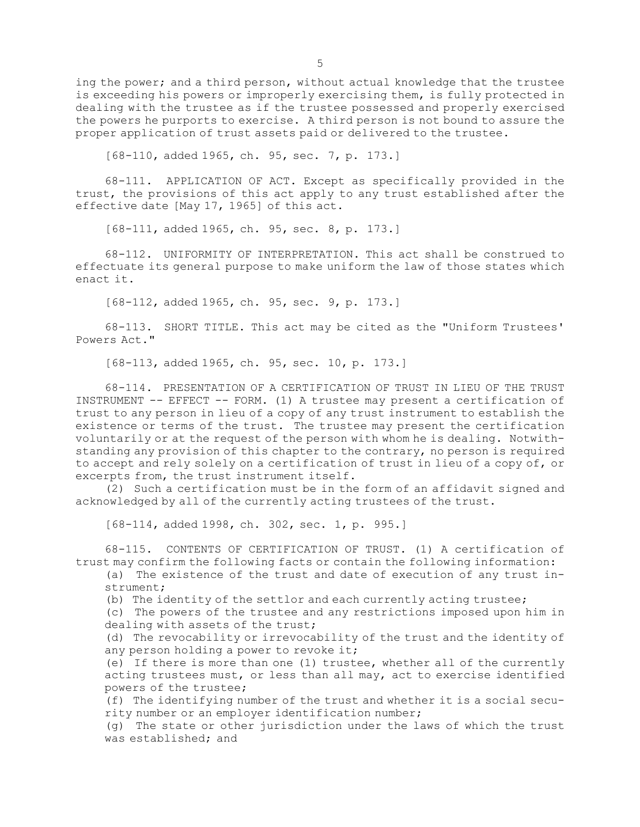ing the power; and <sup>a</sup> third person, without actual knowledge that the trustee is exceeding his powers or improperly exercising them, is fully protected in dealing with the trustee as if the trustee possessed and properly exercised the powers he purports to exercise. <sup>A</sup> third person is not bound to assure the proper application of trust assets paid or delivered to the trustee.

[68-110, added 1965, ch. 95, sec. 7, p. 173.]

68-111. APPLICATION OF ACT. Except as specifically provided in the trust, the provisions of this act apply to any trust established after the effective date [May 17, 1965] of this act.

[68-111, added 1965, ch. 95, sec. 8, p. 173.]

68-112. UNIFORMITY OF INTERPRETATION. This act shall be construed to effectuate its general purpose to make uniform the law of those states which enact it.

[68-112, added 1965, ch. 95, sec. 9, p. 173.]

68-113. SHORT TITLE. This act may be cited as the "Uniform Trustees' Powers Act."

[68-113, added 1965, ch. 95, sec. 10, p. 173.]

68-114. PRESENTATION OF A CERTIFICATION OF TRUST IN LIEU OF THE TRUST INSTRUMENT -- EFFECT -- FORM. (1) <sup>A</sup> trustee may present <sup>a</sup> certification of trust to any person in lieu of <sup>a</sup> copy of any trust instrument to establish the existence or terms of the trust. The trustee may present the certification voluntarily or at the request of the person with whom he is dealing. Notwithstanding any provision of this chapter to the contrary, no person is required to accept and rely solely on <sup>a</sup> certification of trust in lieu of <sup>a</sup> copy of, or excerpts from, the trust instrument itself.

(2) Such <sup>a</sup> certification must be in the form of an affidavit signed and acknowledged by all of the currently acting trustees of the trust.

[68-114, added 1998, ch. 302, sec. 1, p. 995.]

68-115. CONTENTS OF CERTIFICATION OF TRUST. (1) A certification of trust may confirm the following facts or contain the following information:

(a) The existence of the trust and date of execution of any trust instrument;

(b) The identity of the settlor and each currently acting trustee;

(c) The powers of the trustee and any restrictions imposed upon him in dealing with assets of the trust;

(d) The revocability or irrevocability of the trust and the identity of any person holding a power to revoke it;

(e) If there is more than one (1) trustee, whether all of the currently acting trustees must, or less than all may, act to exercise identified powers of the trustee;

(f) The identifying number of the trust and whether it is <sup>a</sup> social security number or an employer identification number;

(g) The state or other jurisdiction under the laws of which the trust was established; and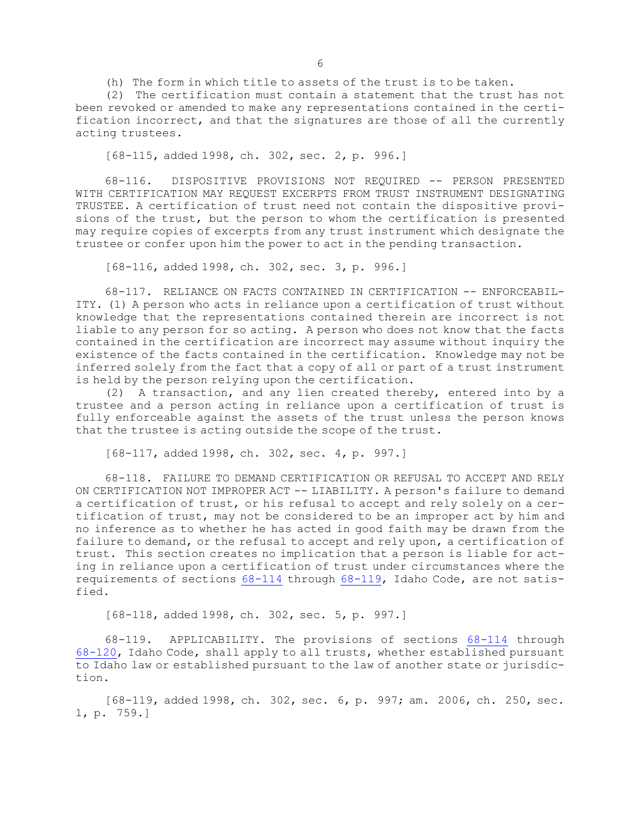(h) The form in which title to assets of the trust is to be taken.

(2) The certification must contain <sup>a</sup> statement that the trust has not been revoked or amended to make any representations contained in the certification incorrect, and that the signatures are those of all the currently acting trustees.

[68-115, added 1998, ch. 302, sec. 2, p. 996.]

68-116. DISPOSITIVE PROVISIONS NOT REQUIRED -- PERSON PRESENTED WITH CERTIFICATION MAY REQUEST EXCERPTS FROM TRUST INSTRUMENT DESIGNATING TRUSTEE. <sup>A</sup> certification of trust need not contain the dispositive provisions of the trust, but the person to whom the certification is presented may require copies of excerpts from any trust instrument which designate the trustee or confer upon him the power to act in the pending transaction.

[68-116, added 1998, ch. 302, sec. 3, p. 996.]

68-117. RELIANCE ON FACTS CONTAINED IN CERTIFICATION -- ENFORCEABIL-ITY. (1) <sup>A</sup> person who acts in reliance upon <sup>a</sup> certification of trust without knowledge that the representations contained therein are incorrect is not liable to any person for so acting. <sup>A</sup> person who does not know that the facts contained in the certification are incorrect may assume without inquiry the existence of the facts contained in the certification. Knowledge may not be inferred solely from the fact that <sup>a</sup> copy of all or part of <sup>a</sup> trust instrument is held by the person relying upon the certification.

(2) <sup>A</sup> transaction, and any lien created thereby, entered into by <sup>a</sup> trustee and <sup>a</sup> person acting in reliance upon <sup>a</sup> certification of trust is fully enforceable against the assets of the trust unless the person knows that the trustee is acting outside the scope of the trust.

[68-117, added 1998, ch. 302, sec. 4, p. 997.]

68-118. FAILURE TO DEMAND CERTIFICATION OR REFUSAL TO ACCEPT AND RELY ON CERTIFICATION NOT IMPROPER ACT -- LIABILITY. <sup>A</sup> person's failure to demand <sup>a</sup> certification of trust, or his refusal to accept and rely solely on <sup>a</sup> certification of trust, may not be considered to be an improper act by him and no inference as to whether he has acted in good faith may be drawn from the failure to demand, or the refusal to accept and rely upon, <sup>a</sup> certification of trust. This section creates no implication that <sup>a</sup> person is liable for acting in reliance upon <sup>a</sup> certification of trust under circumstances where the requirements of sections [68-114](https://legislature.idaho.gov/statutesrules/idstat/Title68/T68CH1/SECT68-114) through [68-119](https://legislature.idaho.gov/statutesrules/idstat/Title68/T68CH1/SECT68-119), Idaho Code, are not satisfied.

[68-118, added 1998, ch. 302, sec. 5, p. 997.]

68-119. APPLICABILITY. The provisions of sections [68-114](https://legislature.idaho.gov/statutesrules/idstat/Title68/T68CH1/SECT68-114) through [68-120](https://legislature.idaho.gov/statutesrules/idstat/Title68/T68CH1/SECT68-120), Idaho Code, shall apply to all trusts, whether established pursuant to Idaho law or established pursuant to the law of another state or jurisdiction.

[68-119, added 1998, ch. 302, sec. 6, p. 997; am. 2006, ch. 250, sec. 1, p. 759.]